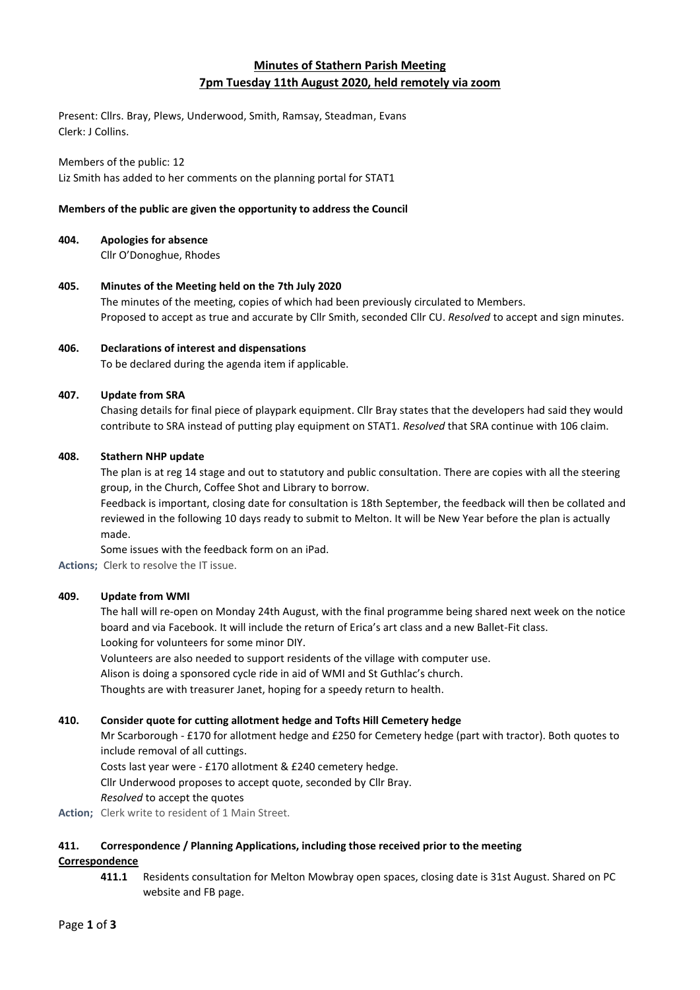# **Minutes of Stathern Parish Meeting 7pm Tuesday 11th August 2020, held remotely via zoom**

Present: Cllrs. Bray, Plews, Underwood, Smith, Ramsay, Steadman, Evans Clerk: J Collins.

#### Members of the public: 12

Liz Smith has added to her comments on the planning portal for STAT1

## **Members of the public are given the opportunity to address the Council**

## **404. Apologies for absence**

Cllr O'Donoghue, Rhodes

**405. Minutes of the Meeting held on the 7th July 2020** The minutes of the meeting, copies of which had been previously circulated to Members. Proposed to accept as true and accurate by Cllr Smith, seconded Cllr CU. *Resolved* to accept and sign minutes.

## **406. Declarations of interest and dispensations**

To be declared during the agenda item if applicable.

## **407. Update from SRA**

Chasing details for final piece of playpark equipment. Cllr Bray states that the developers had said they would contribute to SRA instead of putting play equipment on STAT1. *Resolved* that SRA continue with 106 claim.

# **408. Stathern NHP update**

The plan is at reg 14 stage and out to statutory and public consultation. There are copies with all the steering group, in the Church, Coffee Shot and Library to borrow.

Feedback is important, closing date for consultation is 18th September, the feedback will then be collated and reviewed in the following 10 days ready to submit to Melton. It will be New Year before the plan is actually made.

Some issues with the feedback form on an iPad.

**Actions;** Clerk to resolve the IT issue.

# **409. Update from WMI**

The hall will re-open on Monday 24th August, with the final programme being shared next week on the notice board and via Facebook. It will include the return of Erica's art class and a new Ballet-Fit class. Looking for volunteers for some minor DIY.

Volunteers are also needed to support residents of the village with computer use.

Alison is doing a sponsored cycle ride in aid of WMI and St Guthlac's church.

Thoughts are with treasurer Janet, hoping for a speedy return to health.

# **410. Consider quote for cutting allotment hedge and Tofts Hill Cemetery hedge**

Mr Scarborough - £170 for allotment hedge and £250 for Cemetery hedge (part with tractor). Both quotes to include removal of all cuttings.

Costs last year were - £170 allotment & £240 cemetery hedge.

Cllr Underwood proposes to accept quote, seconded by Cllr Bray.

*Resolved* to accept the quotes

Action; Clerk write to resident of 1 Main Street.

# **411. Correspondence / Planning Applications, including those received prior to the meeting**

## **Correspondence**

**411.1** Residents consultation for Melton Mowbray open spaces, closing date is 31st August. Shared on PC website and FB page.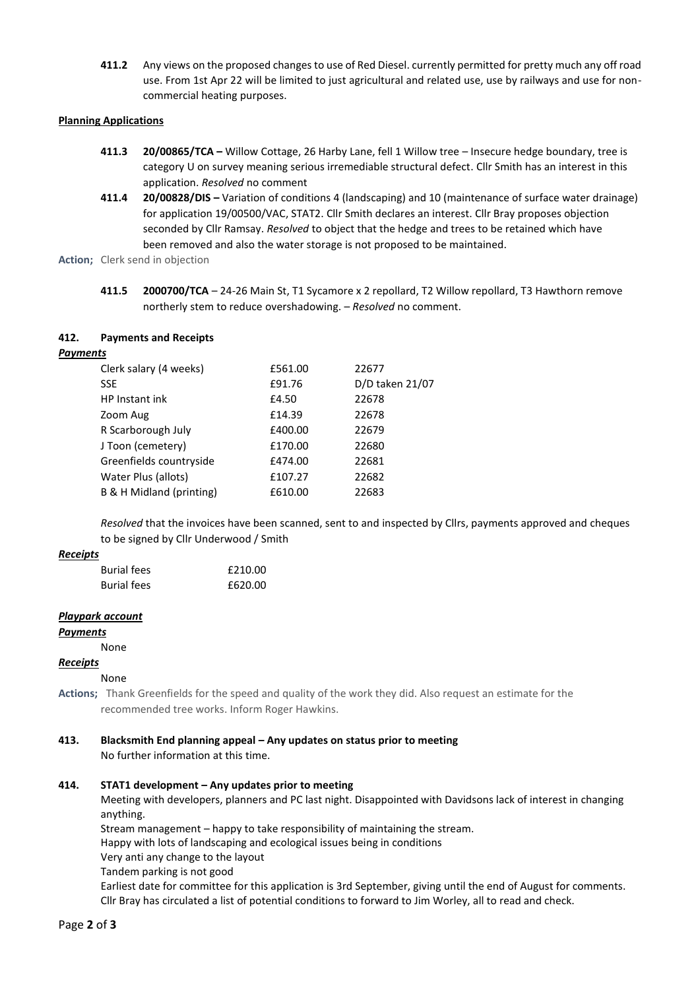**411.2** Any views on the proposed changes to use of Red Diesel. currently permitted for pretty much any off road use. From 1st Apr 22 will be limited to just agricultural and related use, use by railways and use for noncommercial heating purposes.

## **Planning Applications**

- **411.3 20/00865/TCA –** Willow Cottage, 26 Harby Lane, fell 1 Willow tree Insecure hedge boundary, tree is category U on survey meaning serious irremediable structural defect. Cllr Smith has an interest in this application. *Resolved* no comment
- **411.4 20/00828/DIS –** Variation of conditions 4 (landscaping) and 10 (maintenance of surface water drainage) for application 19/00500/VAC, STAT2. Cllr Smith declares an interest. Cllr Bray proposes objection seconded by Cllr Ramsay. *Resolved* to object that the hedge and trees to be retained which have been removed and also the water storage is not proposed to be maintained.

**Action;** Clerk send in objection

**411.5 2000700/TCA** – 24-26 Main St, T1 Sycamore x 2 repollard, T2 Willow repollard, T3 Hawthorn remove northerly stem to reduce overshadowing. – *Resolved* no comment.

## **412. Payments and Receipts**

## *Payments*

| Clerk salary (4 weeks)   | £561.00 | 22677           |
|--------------------------|---------|-----------------|
| <b>SSE</b>               | £91.76  | D/D taken 21/07 |
| HP Instant ink           | £4.50   | 22678           |
| Zoom Aug                 | £14.39  | 22678           |
| R Scarborough July       | £400.00 | 22679           |
| J Toon (cemetery)        | £170.00 | 22680           |
| Greenfields countryside  | £474.00 | 22681           |
| Water Plus (allots)      | £107.27 | 22682           |
| B & H Midland (printing) | £610.00 | 22683           |
|                          |         |                 |

*Resolved* that the invoices have been scanned, sent to and inspected by Cllrs, payments approved and cheques to be signed by Cllr Underwood / Smith

## *Receipts*

| <b>Burial fees</b> | £210.00 |
|--------------------|---------|
| <b>Burial fees</b> | £620.00 |

## *Playpark account*

*Payments*

None

## *Receipts*

## None

**Actions;** Thank Greenfields for the speed and quality of the work they did. Also request an estimate for the recommended tree works. Inform Roger Hawkins.

# **413. Blacksmith End planning appeal – Any updates on status prior to meeting**

No further information at this time.

# **414. STAT1 development – Any updates prior to meeting**

Meeting with developers, planners and PC last night. Disappointed with Davidsons lack of interest in changing anything.

Stream management – happy to take responsibility of maintaining the stream.

Happy with lots of landscaping and ecological issues being in conditions

Very anti any change to the layout

Tandem parking is not good

Earliest date for committee for this application is 3rd September, giving until the end of August for comments. Cllr Bray has circulated a list of potential conditions to forward to Jim Worley, all to read and check.